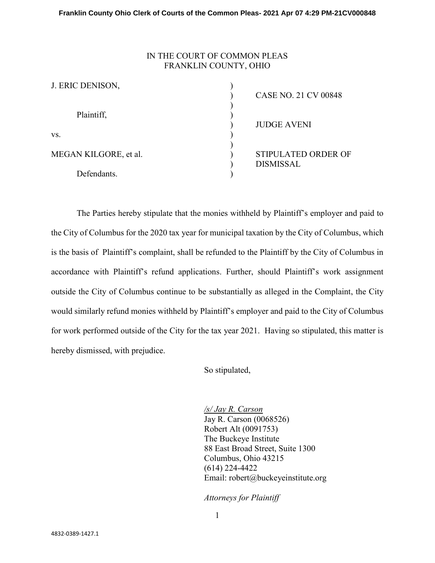## IN THE COURT OF COMMON PLEAS FRANKLIN COUNTY, OHIO

| J. ERIC DENISON,      | <b>CASE NO. 21 CV 00848</b>                    |
|-----------------------|------------------------------------------------|
| Plaintiff,            | <b>JUDGE AVENI</b>                             |
| VS.                   |                                                |
| MEGAN KILGORE, et al. | <b>STIPULATED ORDER OF</b><br><b>DISMISSAL</b> |
| Defendants.           |                                                |

The Parties hereby stipulate that the monies withheld by Plaintiff's employer and paid to the City of Columbus for the 2020 tax year for municipal taxation by the City of Columbus, which is the basis of Plaintiff's complaint, shall be refunded to the Plaintiff by the City of Columbus in accordance with Plaintiff's refund applications. Further, should Plaintiff's work assignment outside the City of Columbus continue to be substantially as alleged in the Complaint, the City would similarly refund monies withheld by Plaintiff's employer and paid to the City of Columbus for work performed outside of the City for the tax year 2021. Having so stipulated, this matter is hereby dismissed, with prejudice.

So stipulated,

*/s/ Jay R. Carson*  Jay R. Carson (0068526) Robert Alt (0091753) The Buckeye Institute 88 East Broad Street, Suite 1300 Columbus, Ohio 43215 (614) 224-4422 Email: robert@buckeyeinstitute.org

*Attorneys for Plaintiff*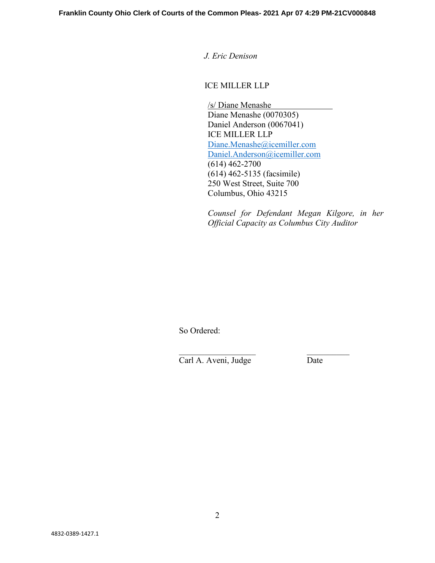*J. Eric Denison* 

ICE MILLER LLP

/s/ Diane Menashe Diane Menashe (0070305) Daniel Anderson (0067041) ICE MILLER LLP [Diane.Menashe@icemiller.com](mailto:Diane.Menashe@icemiller.com)  [Daniel.Anderson@icemiller.com](mailto:Daniel.Anderson@icemiller.com)  (614) 462-2700 (614) 462-5135 (facsimile) 250 West Street, Suite 700 Columbus, Ohio 43215

*Counsel for Defendant Megan Kilgore, in her Official Capacity as Columbus City Auditor* 

So Ordered:

Carl A. Aveni, Judge Date

 $\mathcal{L}_\mathcal{L}$  , which is a set of the set of the set of the set of the set of the set of the set of the set of the set of the set of the set of the set of the set of the set of the set of the set of the set of the set of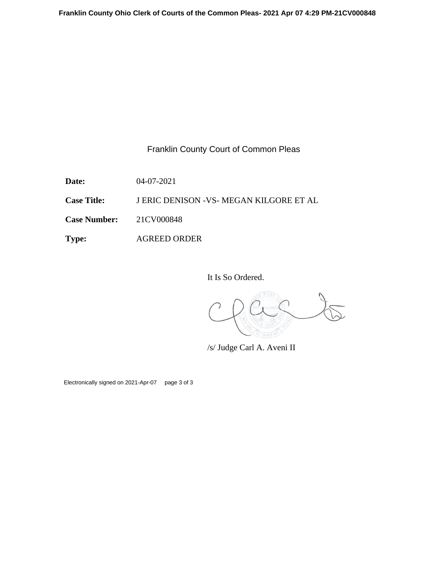Franklin County Court of Common Pleas

**Date:** 04-07-2021

**Case Title:** J ERIC DENISON -VS- MEGAN KILGORE ET AL

**Case Number:** 21CV000848

**Type:** AGREED ORDER

It Is So Ordered.

/s/ Judge Carl A. Aveni II

Electronically signed on 2021-Apr-07 page 3 of 3